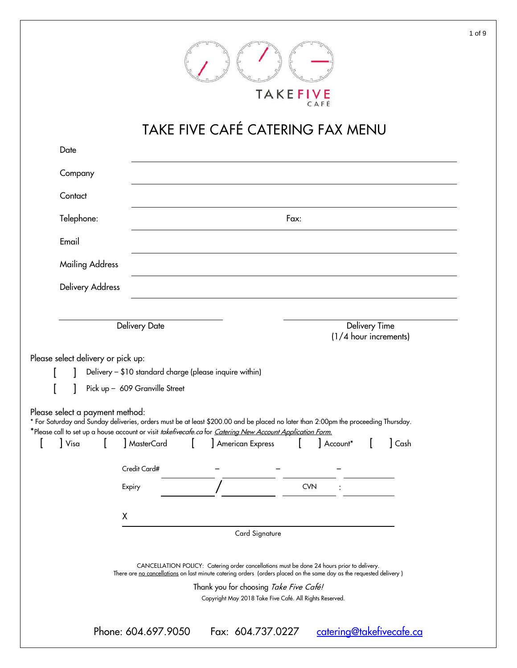|  | TAKEFIVE |
|--|----------|

# TAKE FIVE CAFÉ CATERING FAX MENU

| Company                                                               |                                                                                           |                                                                                                                                                                                                                                                                                    |            |                       |               |              |
|-----------------------------------------------------------------------|-------------------------------------------------------------------------------------------|------------------------------------------------------------------------------------------------------------------------------------------------------------------------------------------------------------------------------------------------------------------------------------|------------|-----------------------|---------------|--------------|
|                                                                       |                                                                                           |                                                                                                                                                                                                                                                                                    |            |                       |               |              |
| Contact                                                               |                                                                                           |                                                                                                                                                                                                                                                                                    |            |                       |               |              |
| Telephone:                                                            |                                                                                           |                                                                                                                                                                                                                                                                                    | Fax:       |                       |               |              |
| Email                                                                 |                                                                                           |                                                                                                                                                                                                                                                                                    |            |                       |               |              |
| <b>Mailing Address</b>                                                |                                                                                           |                                                                                                                                                                                                                                                                                    |            |                       |               |              |
| <b>Delivery Address</b>                                               |                                                                                           |                                                                                                                                                                                                                                                                                    |            |                       |               |              |
|                                                                       |                                                                                           |                                                                                                                                                                                                                                                                                    |            |                       |               |              |
|                                                                       | Delivery Date                                                                             |                                                                                                                                                                                                                                                                                    |            | (1/4 hour increments) | Delivery Time |              |
|                                                                       | Delivery - \$10 standard charge (please inquire within)<br>Pick up - 609 Granville Street |                                                                                                                                                                                                                                                                                    |            |                       |               |              |
| Visa                                                                  | MasterCard                                                                                | * For Saturday and Sunday deliveries, orders must be at least \$200.00 and be placed no later than 2:00pm the proceeding Thursday.<br>*Please call to set up a house account or visit <i>takefivecafe.ca</i> for <i>Catering New Account Application Form.</i><br>American Express |            | Account*              |               | $\vert$ Cash |
| Please select delivery or pick up:<br>Please select a payment method: | Credit Card#                                                                              |                                                                                                                                                                                                                                                                                    |            |                       |               |              |
|                                                                       | Expiry                                                                                    |                                                                                                                                                                                                                                                                                    | <b>CVN</b> |                       |               |              |
|                                                                       | Χ                                                                                         |                                                                                                                                                                                                                                                                                    |            |                       |               |              |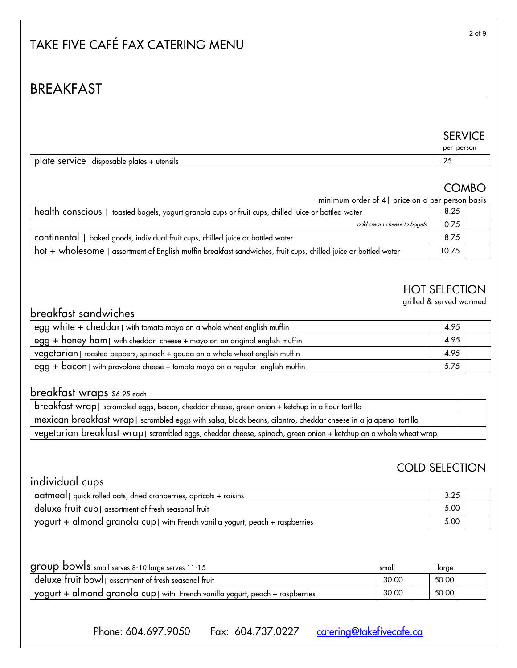## TAKE FIVE CAFÉ FAX CATERING MENU

## BREAKFAST

# SERVICE<br>per person

|                                                                    |                            | $P^{\bullet}$ . $P^{\bullet}$ . $P^{\bullet}$ . |
|--------------------------------------------------------------------|----------------------------|-------------------------------------------------|
| :Arvica<br>utensils<br>l disposable<br>plates<br>.<br>וסכ<br><br>. | $\sim$<br>$\cdot$ 4 $\sim$ |                                                 |

## COMBO

minimum order of 4| price on a per person basis

| health conscious   toasted bagels, yogurt granola cups or fruit cups, chilled juice or bottled water            |  |  |
|-----------------------------------------------------------------------------------------------------------------|--|--|
| add cream cheese to bagels                                                                                      |  |  |
| continental   baked goods, individual fruit cups, chilled juice or bottled water                                |  |  |
| hot + wholesome   assortment of English muffin breakfast sandwiches, fruit cups, chilled juice or bottled water |  |  |

## HOT SELECTION

grilled & served warmed

## breakfast sandwiches

| egg white + cheddar with tomato mayo on a whole wheat english muffin                                                         |      |  |
|------------------------------------------------------------------------------------------------------------------------------|------|--|
| $\mathsf{C}$ egg + <code>honey</code> ham $\mathsf{C}$ with cheddar <code>cheese</code> + mayo on an original english muffin |      |  |
| vegetarian   roasted peppers, spinach + gouda on a whole wheat english muffin                                                |      |  |
| egg + bacon   with provolone cheese + tomato mayo on a regular english muffin                                                | 5.75 |  |

## breakfast wraps \$6.95 each

| $\frac{1}{2}$ breakfast wrap $\mid$ scrambled eggs, bacon, cheddar cheese, green onion + ketchup in a flour tortilla |  |
|----------------------------------------------------------------------------------------------------------------------|--|
| , mexican breakfast wrap   scrambled eggs with salsa, black beans, cilantro, cheddar cheese in a jalapeno tortilla   |  |
| vegetarian breakfast wrap   scrambled eggs, cheddar cheese, spinach, green onion + ketchup on a whole wheat wrap     |  |

## COLD SELECTION

## individual cups

| oatmeal   quick rolled oats, dried cranberries, apricots + raisins                      | 3.25 |  |
|-----------------------------------------------------------------------------------------|------|--|
| deluxe fruit cup   assortment of fresh seasonal fruit                                   | 5.00 |  |
| yogurt $+$ almond granola cup $\vert$ with French vanilla yogurt, peach $+$ raspberries | 5.00 |  |

| group bowls small serves 8-10 large serves 11-15                            | small | large |  |
|-----------------------------------------------------------------------------|-------|-------|--|
| deluxe fruit bowl assortment of fresh seasonal fruit                        | 30.00 | 50.00 |  |
| yogurt + almond granola cup with French vanilla yogurt, peach + raspberries | 30.00 | 50.00 |  |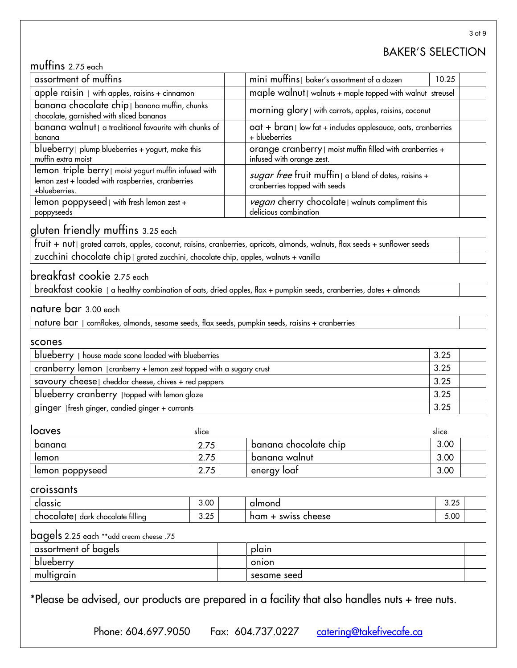## BAKER'S SELECTION

## muffins 2.75 each

| assortment of muffins                                                                                                                                                            | mini muffins   baker's assortment of a dozen<br>10.25                                  |  |
|----------------------------------------------------------------------------------------------------------------------------------------------------------------------------------|----------------------------------------------------------------------------------------|--|
| apple raisin $ $ with apples, raisins $+$ cinnamon                                                                                                                               | maple walnut   walnuts + maple topped with walnut streusel                             |  |
| banana chocolate chip   banana muffin, chunks<br>chocolate, garnished with sliced bananas                                                                                        | morning glory   with carrots, apples, raisins, coconut                                 |  |
| banana walnut   a traditional favourite with chunks of<br>$\cot$ + $\frac{1}{2}$ oat + $\frac{1}{2}$ low fat + includes applesauce, oats, cranberries<br>+ blueberries<br>banana |                                                                                        |  |
| blueberry   plump blueberries + yogurt, make this<br>orange cranberry   moist muffin filled with cranberries +<br>infused with orange zest.<br>muffin extra moist                |                                                                                        |  |
| lemon triple berry   moist yogurt muffin infused with<br>lemon zest + loaded with raspberries, cranberries<br>+blueberries.                                                      | sugar free fruit muffin   a blend of dates, raisins +<br>cranberries topped with seeds |  |
| lemon poppyseed   with fresh lemon zest +<br>poppyseeds                                                                                                                          | <i>vegan</i> cherry chocolate   walnuts compliment this<br>delicious combination       |  |

## gluten friendly muffins 3.25 each

| Fruit + nut   grated carrots, apples, coconut, raisins, cranberries, apricots, almonds, walnuts, flax seeds + sunflower seeds + |  |
|---------------------------------------------------------------------------------------------------------------------------------|--|
| zucchini chocolate chip   grated zucchini, chocolate chip, apples, walnuts + vanilla                                            |  |

### breakfast cookie 2.75 each

breakfast cookie | a healthy combination of oats, dried apples, flax + pumpkin seeds, cranberries, dates + almonds

#### nature bar 3.00 each

nature bar | cornflakes, almonds, sesame seeds, flax seeds, pumpkin seeds, raisins + cranberries

#### scones

| blueberry   house made scone loaded with blueberries                | 3.25 |  |
|---------------------------------------------------------------------|------|--|
| cranberry lemon   cranberry + lemon zest topped with a sugary crust | 3.25 |  |
| savoury cheese   cheddar cheese, chives + red peppers               | 3.25 |  |
| blueberry cranberry   topped with lemon glaze                       | 3.25 |  |
| ginger   fresh ginger, candied ginger + currants                    | 3.25 |  |

| loaves          | slice                    |                       | slice |  |
|-----------------|--------------------------|-----------------------|-------|--|
| banana          | <b>75</b><br>C.<br>2.7 J | banana chocolate chip | 3.00  |  |
| lemon           | 75<br><b>A</b><br>z. i   | banana walnut         | 3.00  |  |
| lemon poppyseed | 75<br>z. i               | energy loat           | 3.00  |  |

#### croissants

| classic                                | 3.00                                 | almond                        | $\Omega$<br>J.LJ  |  |
|----------------------------------------|--------------------------------------|-------------------------------|-------------------|--|
| chocolate filling<br>chocolate<br>dark | $\sum_{i=1}^{n}$<br>~<br><b>U.LU</b> | cheese<br><b>SWISS</b><br>ham | $\sim$ 00<br>J.UU |  |

### bagels 2.25 each \*\*add cream cheese .75

| assortment of bagels | plain       |  |
|----------------------|-------------|--|
| blueberry            | onion       |  |
| multigrain           | sesame seed |  |

\*Please be advised, our products are prepared in a facility that also handles nuts + tree nuts.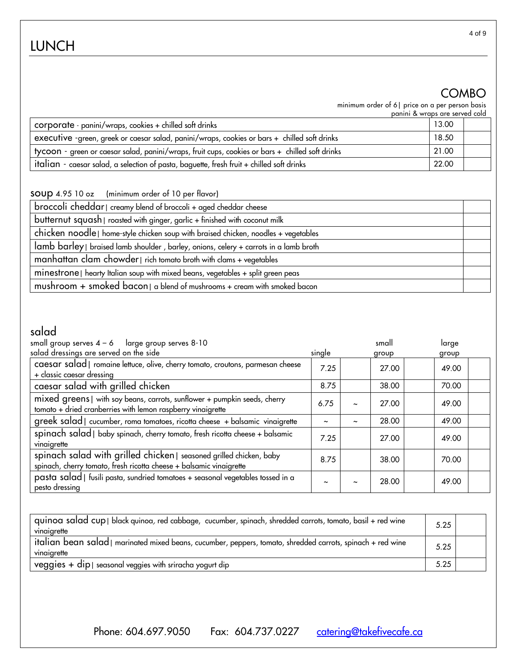## LUNCH

## COMBO

minimum order of 6| price on a per person basis

|                                                                                                 | panini & wraps are served cold |  |
|-------------------------------------------------------------------------------------------------|--------------------------------|--|
| corporate - panini/wraps, cookies + chilled soft drinks                                         | 13.00                          |  |
| executive -green, greek or caesar salad, panini/wraps, cookies or bars + chilled soft drinks    | 18.50                          |  |
| tycoon - green or caesar salad, panini/wraps, fruit cups, cookies or bars + chilled soft drinks | 21.00                          |  |
| italian - caesar salad, a selection of pasta, baguette, fresh fruit + chilled soft drinks       | 22.00                          |  |

soup 4.95 10 oz (minimum order of 10 per flavor)

| broccoli cheddar   creamy blend of broccoli + aged cheddar cheese                                 |  |
|---------------------------------------------------------------------------------------------------|--|
| butternut squash   roasted with ginger, garlic + finished with coconut milk                       |  |
| chicken noodle   home-style chicken soup with braised chicken, noodles + vegetables               |  |
| lamb barley   braised lamb shoulder, barley, onions, celery + carrots in a lamb broth             |  |
| manhattan clam chowder   rich tomato broth with clams + vegetables                                |  |
| minestrone   hearty Italian soup with mixed beans, vegetables + split green peas                  |  |
| mushroom + smoked bacon $  \circ \text{b} \rangle$ a blend of mushrooms + cream with smoked bacon |  |

## salad

| small group serves $4 - 6$ large group serves $8 - 10$<br>salad dressings are served on the side                                           | single                |                       | small<br>group | large<br>group |  |
|--------------------------------------------------------------------------------------------------------------------------------------------|-----------------------|-----------------------|----------------|----------------|--|
| caesar salad   romaine lettuce, olive, cherry tomato, croutons, parmesan cheese<br>+ classic caesar dressing                               | 7.25                  |                       | 27.00          | 49.00          |  |
| caesar salad with grilled chicken                                                                                                          | 8.75                  |                       | 38.00          | 70.00          |  |
| mixed greens   with soy beans, carrots, sunflower + pumpkin seeds, cherry<br>tomato + dried cranberries with lemon raspberry vinaigrette   | 6.75                  | $\tilde{\phantom{a}}$ | 27.00          | 49.00          |  |
| greek salad   cucumber, roma tomatoes, ricotta cheese + balsamic vinaigrette                                                               | $\tilde{\phantom{a}}$ | $\tilde{}$            | 28.00          | 49.00          |  |
| spinach salad   baby spinach, cherry tomato, fresh ricotta cheese + balsamic<br>vinaigrette                                                | 7.25                  |                       | 27.00          | 49.00          |  |
| spinach salad with grilled chicken   seasoned grilled chicken, baby<br>spinach, cherry tomato, fresh ricotta cheese + balsamic vinaigrette | 8.75                  |                       | 38.00          | 70.00          |  |
| pasta salad   fusili pasta, sundried tomatoes + seasonal vegetables tossed in a<br>pesto dressing                                          |                       | $\tilde{\phantom{a}}$ | 28.00          | 49.00          |  |

| quinoa salad cup   black quinoa, red cabbage, cucumber, spinach, shredded carrots, tomato, basil + red wine<br>vinaigrette | 5.25 |  |
|----------------------------------------------------------------------------------------------------------------------------|------|--|
| italian bean salad   marinated mixed beans, cucumber, peppers, tomato, shredded carrots, spinach + red wine<br>vinaigrette | 5.25 |  |
| $veggies + dip$ seasonal veggies with sriracha yogurt dip                                                                  | 5.25 |  |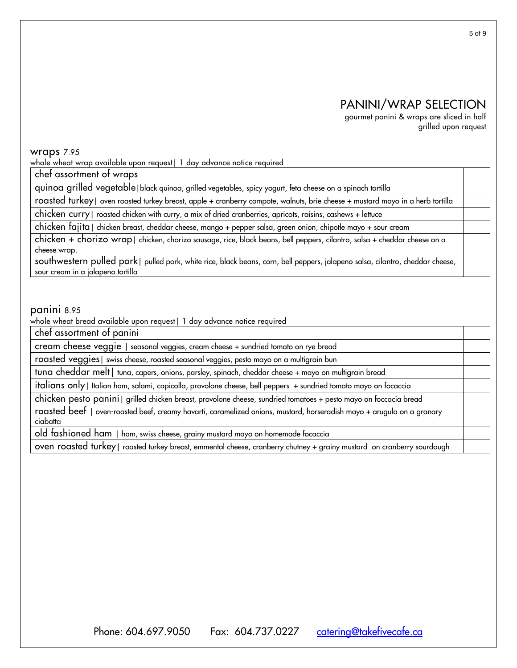## PANINI/WRAP SELECTION

gourmet panini & wraps are sliced in half grilled upon request

#### wraps 7.95

whole wheat wrap available upon request | 1 day advance notice required

chef assortment of wraps

quinoa grilled vegetable|black quinoa, grilled vegetables, spicy yogurt, feta cheese on a spinach tortilla

roasted turkey| oven roasted turkey breast, apple + cranberry compote, walnuts, brie cheese + mustard mayo in a herb tortilla

chicken curry| roasted chicken with curry, a mix of dried cranberries, apricots, raisins, cashews + lettuce

chicken fajita| chicken breast, cheddar cheese, mango + pepper salsa, green onion, chipotle mayo + sour cream

chicken + chorizo wrap| chicken, chorizo sausage, rice, black beans, bell peppers, cilantro, salsa + cheddar cheese on a cheese wrap.

southwestern pulled pork| pulled pork, white rice, black beans, corn, bell peppers, jalapeno salsa, cilantro, cheddar cheese, sour cream in a jalapeno tortilla

#### panini 8.95

whole wheat bread available upon request| 1 day advance notice required

chef assortment of panini

cream cheese veggie | seasonal veggies, cream cheese + sundried tomato on rye bread

roasted veggies| swiss cheese, roasted seasonal veggies, pesto mayo on a multigrain bun

tuna cheddar melt| tuna, capers, onions, parsley, spinach, cheddar cheese + mayo on multigrain bread

italians only| Italian ham, salami, capicolla, provolone cheese, bell peppers + sundried tomato mayo on focaccia

chicken pesto panini| grilled chicken breast, provolone cheese, sundried tomatoes + pesto mayo on foccacia bread

roasted beef | oven-roasted beef, creamy havarti, caramelized onions, mustard, horseradish mayo + arugula on a granary ciabatta

old fashioned ham | ham, swiss cheese, grainy mustard mayo on homemade focaccia

oven roasted turkey| roasted turkey breast, emmental cheese, cranberry chutney + grainy mustard on cranberry sourdough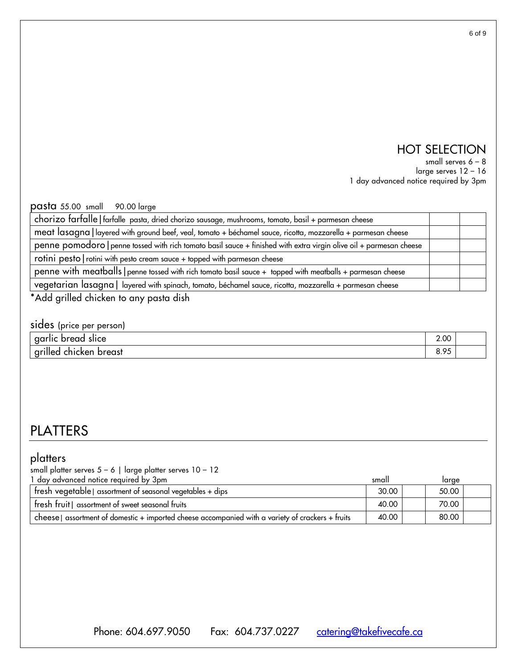## HOT SELECTION

small serves 6 – 8

large serves 12 – 16 1 day advanced notice required by 3pm

pasta 55.00 small 90.00 large

| chorizo farfalle   farfalle pasta, dried chorizo sausage, mushrooms, tomato, basil + parmesan cheese                |  |  |
|---------------------------------------------------------------------------------------------------------------------|--|--|
| meat lasagna   layered with ground beef, veal, tomato + béchamel sauce, ricotta, mozzarella + parmesan cheese       |  |  |
| penne pomodoro   penne tossed with rich tomato basil sauce + finished with extra virgin olive oil + parmesan cheese |  |  |
| rotini pesto   rotini with pesto cream sauce + topped with parmesan cheese                                          |  |  |
| penne with meatballs   penne tossed with rich tomato basil sauce + topped with meatballs + parmesan cheese          |  |  |
| vegetarian lasagna   layered with spinach, tomato, béchamel sauce, ricotta, mozzarella + parmesan cheese            |  |  |
|                                                                                                                     |  |  |

\*Add grilled chicken to any pasta dish

| sides (price per person) |      |  |
|--------------------------|------|--|
| garlic bread slice       | 2.00 |  |
| grilled chicken breast   | 8.95 |  |

## PLATTERS

### platters

| small platter serves $5 - 6$   large platter serves $10 - 12$                                     |       |       |  |
|---------------------------------------------------------------------------------------------------|-------|-------|--|
| 1 day advanced notice required by 3pm                                                             | small | large |  |
| fresh vegetable   assortment of seasonal vegetables + dips                                        | 30.00 | 50.00 |  |
| fresh fruit   assortment of sweet seasonal fruits                                                 | 40.00 | 70.00 |  |
| cheese   assortment of domestic + imported cheese accompanied with a variety of crackers + fruits | 40.00 | 80.00 |  |

Phone: 604.697.9050 Fax: 604.737.0227 [catering@takefivecafe.ca](mailto:catering@takefivecafe.ca)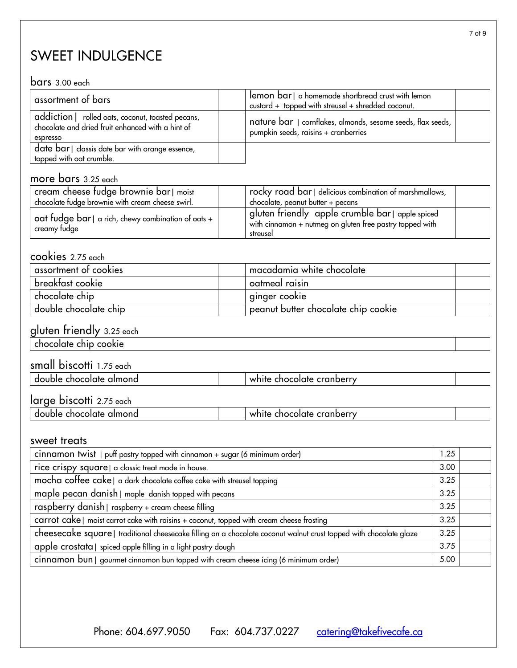## SWEET INDULGENCE

#### bars 3.00 each

| assortment of bars                                                                                                 | lemon bar   a homemade shortbread crust with lemon<br>custard + topped with streusel + shredded coconut. |
|--------------------------------------------------------------------------------------------------------------------|----------------------------------------------------------------------------------------------------------|
| addiction   rolled oats, coconut, toasted pecans,<br>chocolate and dried fruit enhanced with a hint of<br>espresso | nature bar   cornflakes, almonds, sesame seeds, flax seeds,<br>pumpkin seeds, raisins + cranberries      |
| date bar   classis date bar with orange essence,<br>topped with oat crumble.                                       |                                                                                                          |

### more bars 3.25 each

| ' cream cheese fudge brownie bar। moist<br>chocolate fudge brownie with cream cheese swirl. | rocky road bar   delicious combination of marshmallows,<br>chocolate, peanut butter + pecans                           |  |
|---------------------------------------------------------------------------------------------|------------------------------------------------------------------------------------------------------------------------|--|
| oat fudge bar $ a$ rich, chewy combination of oats + $\frac{1}{2}$<br>creamy tudge          | gluten friendly apple crumble bar apple spiced<br>with cinnamon + nutmeg on gluten free pastry topped with<br>streusel |  |

### cookies 2.75 each

| assortment of cookies | macadamia white chocolate           |  |
|-----------------------|-------------------------------------|--|
| breaktast cookie      | oatmeal raisin                      |  |
| chocolate chip        | ginger cookie                       |  |
| double chocolate chip | peanut butter chocolate chip cookie |  |

#### gluten friendly 3.25 each

chocolate chip cookie

## small biscotti 1.75 each

| almond<br>do<br>cnocolate<br>pupie | cranberr<br>.<br>∵noc<br>. те<br>.окие |  |
|------------------------------------|----------------------------------------|--|
|                                    |                                        |  |
|                                    |                                        |  |

## large biscotti 2.75 each

| almond<br>double<br>: chocolate | chocolate cranberry<br>white |  |
|---------------------------------|------------------------------|--|
|                                 |                              |  |

#### sweet treats

| cinnamon twist   puff pastry topped with cinnamon + sugar (6 minimum order)                                        |      |  |  |
|--------------------------------------------------------------------------------------------------------------------|------|--|--|
| rice crispy square   a classic treat made in house.                                                                | 3.00 |  |  |
| mocha coffee cake   a dark chocolate coffee cake with streusel topping                                             | 3.25 |  |  |
| maple pecan danish   maple danish topped with pecans                                                               | 3.25 |  |  |
| raspberry danish   raspberry + cream cheese filling                                                                | 3.25 |  |  |
| carrot cake   moist carrot cake with raisins + coconut, topped with cream cheese frosting                          | 3.25 |  |  |
| cheesecake square   traditional cheesecake filling on a chocolate coconut walnut crust topped with chocolate glaze | 3.25 |  |  |
| apple crostata   spiced apple filling in a light pastry dough                                                      | 3.75 |  |  |
| cinnamon bun   gourmet cinnamon bun topped with cream cheese icing (6 minimum order)                               | 5.00 |  |  |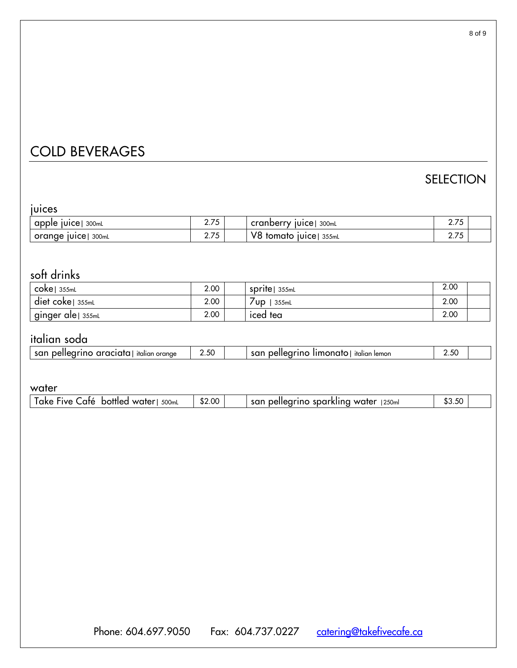## COLD BEVERAGES

## SELECTION

| ı | uĸ |  |  |
|---|----|--|--|

| .                    |                      |                                 |                |  |
|----------------------|----------------------|---------------------------------|----------------|--|
| apple juice<br>300mL | <b>275</b><br>2. I J | 300mL<br>cranberry juice        | 275<br><b></b> |  |
| orange juice 300ml   | つつち<br>2.7 J         | V8<br><b>tomato juice 355ml</b> | 27E<br>2. I J  |  |

## soft drinks

| $\mathsf{coke} \mid 355\text{ml}$ | 2.00 | <b>Sprite</b> 355mL | 2.00 |  |
|-----------------------------------|------|---------------------|------|--|
| $\det$ coke $\sin$ 355mL          | 2.00 | 355mL<br>′∪p∶       | 2.00 |  |
| ∣ginger ale  355mL                | 2.00 | iced tea            | 2.00 |  |

## italian soda

| san<br>araciata.<br>italian orange<br>pelledi<br>шо<br>araciaia <sup>,</sup> | $ \sim$<br>–.5∪ | -------<br>sar<br>ı lemon<br>, ∿eller<br>italian<br>monarc<br>ше | ∠.ລ∪_ |  |
|------------------------------------------------------------------------------|-----------------|------------------------------------------------------------------|-------|--|

### water

| \$2.00<br>500ml<br>'250m<br>.ate<br>$\overline{\phantom{a}}$<br>san<br>$ -$<br>water<br>. water<br><b>OKA</b><br>'IVA<br>hottler.<br>.50<br>$-10^{2}$<br>.nar<br>- 10 1 2<br>the contract of the contract of the |  |  |  |
|------------------------------------------------------------------------------------------------------------------------------------------------------------------------------------------------------------------|--|--|--|
|                                                                                                                                                                                                                  |  |  |  |